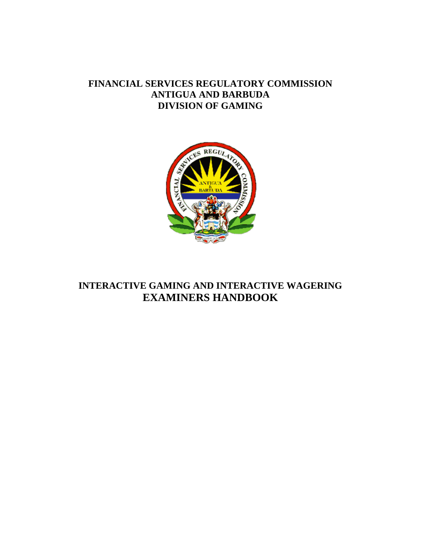# **FINANCIAL SERVICES REGULATORY COMMISSION ANTIGUA AND BARBUDA DIVISION OF GAMING**



# **INTERACTIVE GAMING AND INTERACTIVE WAGERING EXAMINERS HANDBOOK**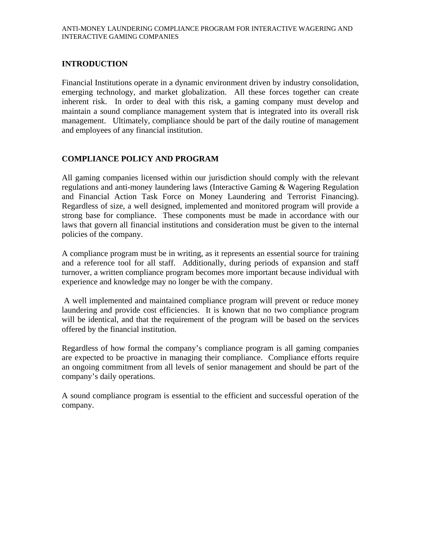### **INTRODUCTION**

Financial Institutions operate in a dynamic environment driven by industry consolidation, emerging technology, and market globalization. All these forces together can create inherent risk. In order to deal with this risk, a gaming company must develop and maintain a sound compliance management system that is integrated into its overall risk management. Ultimately, compliance should be part of the daily routine of management and employees of any financial institution.

# **COMPLIANCE POLICY AND PROGRAM**

All gaming companies licensed within our jurisdiction should comply with the relevant regulations and anti-money laundering laws (Interactive Gaming & Wagering Regulation and Financial Action Task Force on Money Laundering and Terrorist Financing). Regardless of size, a well designed, implemented and monitored program will provide a strong base for compliance. These components must be made in accordance with our laws that govern all financial institutions and consideration must be given to the internal policies of the company.

A compliance program must be in writing, as it represents an essential source for training and a reference tool for all staff. Additionally, during periods of expansion and staff turnover, a written compliance program becomes more important because individual with experience and knowledge may no longer be with the company.

 A well implemented and maintained compliance program will prevent or reduce money laundering and provide cost efficiencies. It is known that no two compliance program will be identical, and that the requirement of the program will be based on the services offered by the financial institution.

Regardless of how formal the company's compliance program is all gaming companies are expected to be proactive in managing their compliance. Compliance efforts require an ongoing commitment from all levels of senior management and should be part of the company's daily operations.

A sound compliance program is essential to the efficient and successful operation of the company.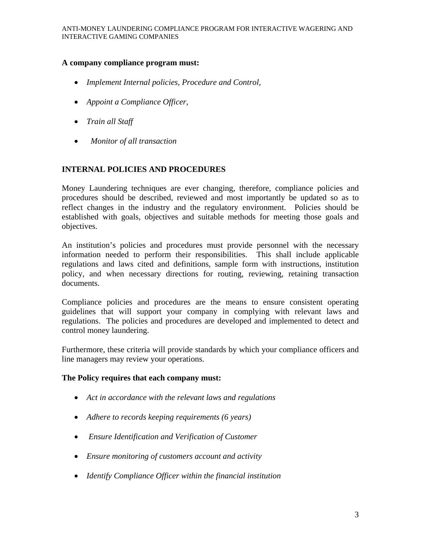# **A company compliance program must:**

- *Implement Internal policies, Procedure and Control,*
- *Appoint a Compliance Officer,*
- *Train all Staff*
- • *Monitor of all transaction*

#### **INTERNAL POLICIES AND PROCEDURES**

Money Laundering techniques are ever changing, therefore, compliance policies and procedures should be described, reviewed and most importantly be updated so as to reflect changes in the industry and the regulatory environment. Policies should be established with goals, objectives and suitable methods for meeting those goals and objectives.

An institution's policies and procedures must provide personnel with the necessary information needed to perform their responsibilities. This shall include applicable regulations and laws cited and definitions, sample form with instructions, institution policy, and when necessary directions for routing, reviewing, retaining transaction documents.

Compliance policies and procedures are the means to ensure consistent operating guidelines that will support your company in complying with relevant laws and regulations. The policies and procedures are developed and implemented to detect and control money laundering.

Furthermore, these criteria will provide standards by which your compliance officers and line managers may review your operations.

#### **The Policy requires that each company must:**

- *Act in accordance with the relevant laws and regulations*
- *Adhere to records keeping requirements (6 years)*
- • *Ensure Identification and Verification of Customer*
- *Ensure monitoring of customers account and activity*
- *Identify Compliance Officer within the financial institution*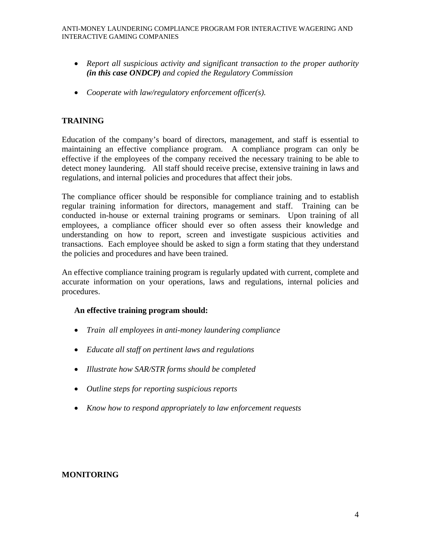- *Report all suspicious activity and significant transaction to the proper authority (in this case ONDCP) and copied the Regulatory Commission*
- *Cooperate with law/regulatory enforcement officer(s).*

# **TRAINING**

Education of the company's board of directors, management, and staff is essential to maintaining an effective compliance program. A compliance program can only be effective if the employees of the company received the necessary training to be able to detect money laundering. All staff should receive precise, extensive training in laws and regulations, and internal policies and procedures that affect their jobs.

The compliance officer should be responsible for compliance training and to establish regular training information for directors, management and staff. Training can be conducted in-house or external training programs or seminars. Upon training of all employees, a compliance officer should ever so often assess their knowledge and understanding on how to report, screen and investigate suspicious activities and transactions. Each employee should be asked to sign a form stating that they understand the policies and procedures and have been trained.

An effective compliance training program is regularly updated with current, complete and accurate information on your operations, laws and regulations, internal policies and procedures.

#### **An effective training program should:**

- *Train all employees in anti-money laundering compliance*
- *Educate all staff on pertinent laws and regulations*
- *Illustrate how SAR/STR forms should be completed*
- *Outline steps for reporting suspicious reports*
- *Know how to respond appropriately to law enforcement requests*

# **MONITORING**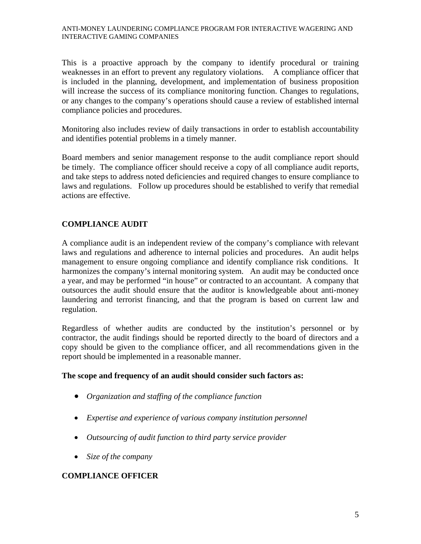#### ANTI-MONEY LAUNDERING COMPLIANCE PROGRAM FOR INTERACTIVE WAGERING AND INTERACTIVE GAMING COMPANIES

This is a proactive approach by the company to identify procedural or training weaknesses in an effort to prevent any regulatory violations. A compliance officer that is included in the planning, development, and implementation of business proposition will increase the success of its compliance monitoring function. Changes to regulations, or any changes to the company's operations should cause a review of established internal compliance policies and procedures.

Monitoring also includes review of daily transactions in order to establish accountability and identifies potential problems in a timely manner.

Board members and senior management response to the audit compliance report should be timely. The compliance officer should receive a copy of all compliance audit reports, and take steps to address noted deficiencies and required changes to ensure compliance to laws and regulations. Follow up procedures should be established to verify that remedial actions are effective.

# **COMPLIANCE AUDIT**

A compliance audit is an independent review of the company's compliance with relevant laws and regulations and adherence to internal policies and procedures. An audit helps management to ensure ongoing compliance and identify compliance risk conditions. It harmonizes the company's internal monitoring system. An audit may be conducted once a year, and may be performed "in house" or contracted to an accountant. A company that outsources the audit should ensure that the auditor is knowledgeable about anti-money laundering and terrorist financing, and that the program is based on current law and regulation.

Regardless of whether audits are conducted by the institution's personnel or by contractor, the audit findings should be reported directly to the board of directors and a copy should be given to the compliance officer, and all recommendations given in the report should be implemented in a reasonable manner.

#### **The scope and frequency of an audit should consider such factors as:**

- *Organization and staffing of the compliance function*
- *Expertise and experience of various company institution personnel*
- *Outsourcing of audit function to third party service provider*
- *Size of the company*

# **COMPLIANCE OFFICER**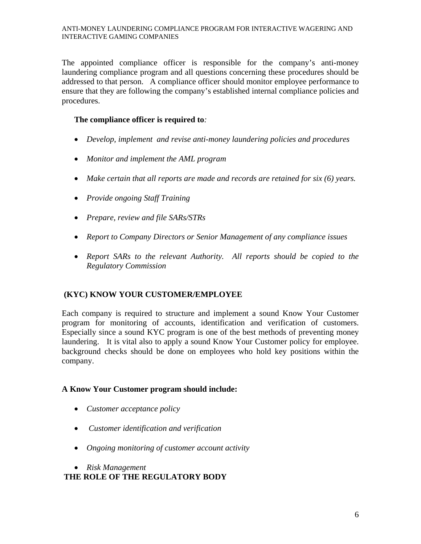#### ANTI-MONEY LAUNDERING COMPLIANCE PROGRAM FOR INTERACTIVE WAGERING AND INTERACTIVE GAMING COMPANIES

The appointed compliance officer is responsible for the company's anti-money laundering compliance program and all questions concerning these procedures should be addressed to that person. A compliance officer should monitor employee performance to ensure that they are following the company's established internal compliance policies and procedures.

### **The compliance officer is required to***:*

- *Develop, implement and revise anti-money laundering policies and procedures*
- *Monitor and implement the AML program*
- *Make certain that all reports are made and records are retained for six (6) years.*
- *Provide ongoing Staff Training*
- *Prepare, review and file SARs/STRs*
- *Report to Company Directors or Senior Management of any compliance issues*
- *Report SARs to the relevant Authority. All reports should be copied to the Regulatory Commission*

# **(KYC) KNOW YOUR CUSTOMER/EMPLOYEE**

Each company is required to structure and implement a sound Know Your Customer program for monitoring of accounts, identification and verification of customers. Especially since a sound KYC program is one of the best methods of preventing money laundering. It is vital also to apply a sound Know Your Customer policy for employee. background checks should be done on employees who hold key positions within the company.

# **A Know Your Customer program should include:**

- *Customer acceptance policy*
- • *Customer identification and verification*
- *Ongoing monitoring of customer account activity*
- *Risk Management*

# **THE ROLE OF THE REGULATORY BODY**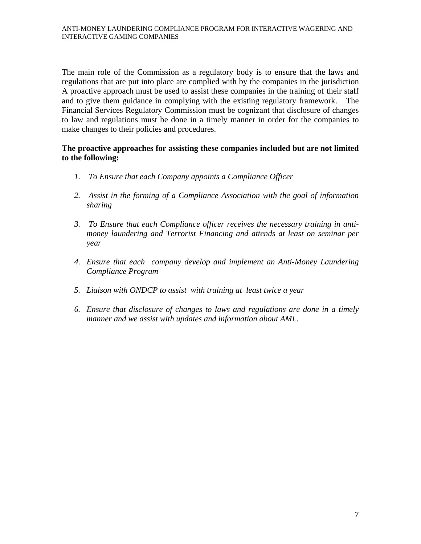The main role of the Commission as a regulatory body is to ensure that the laws and regulations that are put into place are complied with by the companies in the jurisdiction A proactive approach must be used to assist these companies in the training of their staff and to give them guidance in complying with the existing regulatory framework. The Financial Services Regulatory Commission must be cognizant that disclosure of changes to law and regulations must be done in a timely manner in order for the companies to make changes to their policies and procedures.

#### **The proactive approaches for assisting these companies included but are not limited to the following:**

- *1. To Ensure that each Company appoints a Compliance Officer*
- *2. Assist in the forming of a Compliance Association with the goal of information sharing*
- *3. To Ensure that each Compliance officer receives the necessary training in antimoney laundering and Terrorist Financing and attends at least on seminar per year*
- *4. Ensure that each company develop and implement an Anti-Money Laundering Compliance Program*
- *5. Liaison with ONDCP to assist with training at least twice a year*
- *6. Ensure that disclosure of changes to laws and regulations are done in a timely manner and we assist with updates and information about AML.*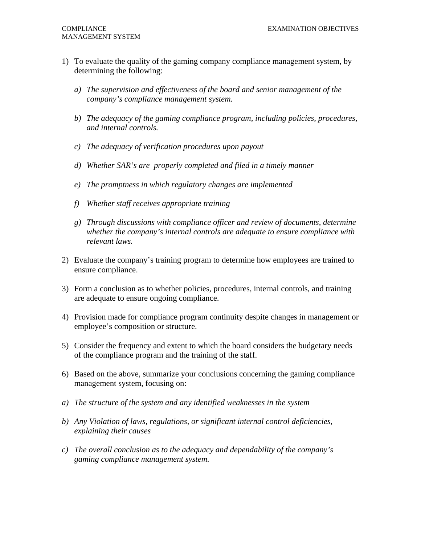- 1) To evaluate the quality of the gaming company compliance management system, by determining the following:
	- *a) The supervision and effectiveness of the board and senior management of the company's compliance management system.*
	- *b) The adequacy of the gaming compliance program, including policies, procedures, and internal controls.*
	- *c) The adequacy of verification procedures upon payout*
	- *d) Whether SAR's are properly completed and filed in a timely manner*
	- *e) The promptness in which regulatory changes are implemented*
	- *f) Whether staff receives appropriate training*
	- *g) Through discussions with compliance officer and review of documents, determine whether the company's internal controls are adequate to ensure compliance with relevant laws.*
- 2) Evaluate the company's training program to determine how employees are trained to ensure compliance.
- 3) Form a conclusion as to whether policies, procedures, internal controls, and training are adequate to ensure ongoing compliance.
- 4) Provision made for compliance program continuity despite changes in management or employee's composition or structure.
- 5) Consider the frequency and extent to which the board considers the budgetary needs of the compliance program and the training of the staff.
- 6) Based on the above, summarize your conclusions concerning the gaming compliance management system, focusing on:
- *a) The structure of the system and any identified weaknesses in the system*
- *b) Any Violation of laws, regulations, or significant internal control deficiencies, explaining their causes*
- *c) The overall conclusion as to the adequacy and dependability of the company's gaming compliance management system.*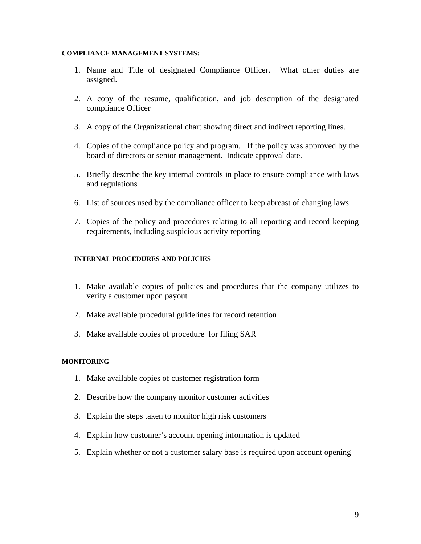#### **COMPLIANCE MANAGEMENT SYSTEMS:**

- 1. Name and Title of designated Compliance Officer. What other duties are assigned.
- 2. A copy of the resume, qualification, and job description of the designated compliance Officer
- 3. A copy of the Organizational chart showing direct and indirect reporting lines.
- 4. Copies of the compliance policy and program. If the policy was approved by the board of directors or senior management. Indicate approval date.
- 5. Briefly describe the key internal controls in place to ensure compliance with laws and regulations
- 6. List of sources used by the compliance officer to keep abreast of changing laws
- 7. Copies of the policy and procedures relating to all reporting and record keeping requirements, including suspicious activity reporting

#### **INTERNAL PROCEDURES AND POLICIES**

- 1. Make available copies of policies and procedures that the company utilizes to verify a customer upon payout
- 2. Make available procedural guidelines for record retention
- 3. Make available copies of procedure for filing SAR

#### **MONITORING**

- 1. Make available copies of customer registration form
- 2. Describe how the company monitor customer activities
- 3. Explain the steps taken to monitor high risk customers
- 4. Explain how customer's account opening information is updated
- 5. Explain whether or not a customer salary base is required upon account opening